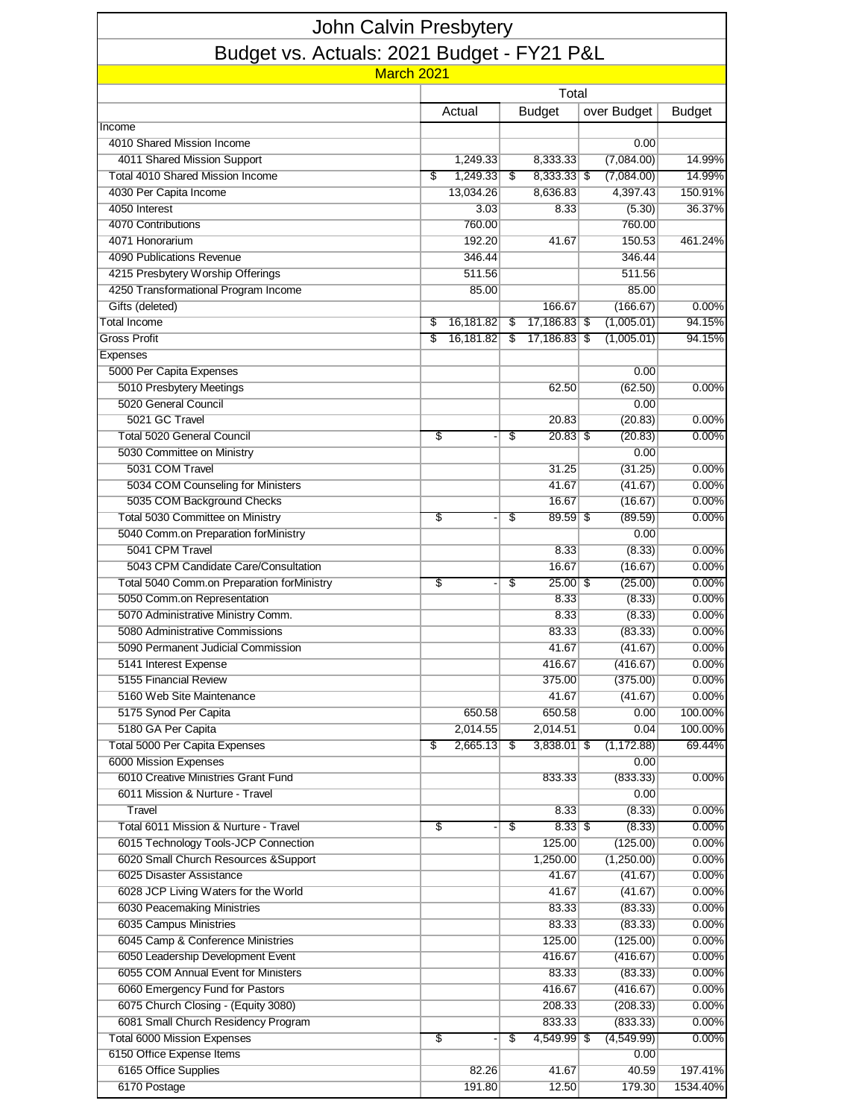| <b>John Calvin Presbytery</b>              |    |                   |    |                           |    |                        |                   |  |  |  |  |  |  |
|--------------------------------------------|----|-------------------|----|---------------------------|----|------------------------|-------------------|--|--|--|--|--|--|
| Budget vs. Actuals: 2021 Budget - FY21 P&L |    |                   |    |                           |    |                        |                   |  |  |  |  |  |  |
| March 2021                                 |    |                   |    |                           |    |                        |                   |  |  |  |  |  |  |
|                                            |    |                   |    | Total                     |    |                        |                   |  |  |  |  |  |  |
|                                            |    | Actual            |    | <b>Budget</b>             |    | over Budget            | <b>Budget</b>     |  |  |  |  |  |  |
| Income                                     |    |                   |    |                           |    |                        |                   |  |  |  |  |  |  |
| 4010 Shared Mission Income                 |    |                   |    |                           |    | 0.00                   |                   |  |  |  |  |  |  |
| 4011 Shared Mission Support                |    | 1,249.33          |    | 8,333.33                  |    | (7,084.00)             | 14.99%            |  |  |  |  |  |  |
| <b>Total 4010 Shared Mission Income</b>    | \$ | 1,249.33          | \$ | $8,333.33$ \$<br>8,636.83 |    | (7,084.00)<br>4,397.43 | 14.99%<br>150.91% |  |  |  |  |  |  |
| 4030 Per Capita Income<br>4050 Interest    |    | 13,034.26<br>3.03 |    | 8.33                      |    | (5.30)                 | 36.37%            |  |  |  |  |  |  |
| 4070 Contributions                         |    | 760.00            |    |                           |    | 760.00                 |                   |  |  |  |  |  |  |
| 4071 Honorarium                            |    | 192.20            |    | 41.67                     |    | 150.53                 | 461.24%           |  |  |  |  |  |  |
| 4090 Publications Revenue                  |    | 346.44            |    |                           |    | 346.44                 |                   |  |  |  |  |  |  |
| 4215 Presbytery Worship Offerings          |    | 511.56            |    |                           |    | 511.56                 |                   |  |  |  |  |  |  |
| 4250 Transformational Program Income       |    | 85.00             |    |                           |    | 85.00                  |                   |  |  |  |  |  |  |
| Gifts (deleted)                            |    |                   |    | 166.67                    |    | (166.67)               | 0.00%             |  |  |  |  |  |  |
| <b>Total Income</b>                        | \$ | 16,181.82         | \$ | 17,186.83 \$              |    | (1,005.01)             | 94.15%            |  |  |  |  |  |  |
| Gross Profit                               | \$ | 16,181.82         | S  | 17,186.83 \$              |    | (1,005.01)             | 94.15%            |  |  |  |  |  |  |
| Expenses                                   |    |                   |    |                           |    |                        |                   |  |  |  |  |  |  |
| 5000 Per Capita Expenses                   |    |                   |    |                           |    | 0.00                   |                   |  |  |  |  |  |  |
| 5010 Presbytery Meetings                   |    |                   |    | 62.50                     |    | (62.50)                | $0.00\%$          |  |  |  |  |  |  |
| 5020 General Council                       |    |                   |    |                           |    | 0.00                   |                   |  |  |  |  |  |  |
| 5021 GC Travel                             |    |                   |    | 20.83                     |    | (20.83)                | 0.00%             |  |  |  |  |  |  |
| <b>Total 5020 General Council</b>          | \$ |                   | \$ | $20.83$ \$                |    | (20.83)                | $0.00\%$          |  |  |  |  |  |  |
| 5030 Committee on Ministry                 |    |                   |    |                           |    | 0.00                   |                   |  |  |  |  |  |  |
| 5031 COM Travel                            |    |                   |    | 31.25                     |    | (31.25)                | 0.00%             |  |  |  |  |  |  |
| 5034 COM Counseling for Ministers          |    |                   |    | 41.67                     |    | (41.67)                | 0.00%             |  |  |  |  |  |  |
| 5035 COM Background Checks                 |    |                   |    | 16.67                     |    | (16.67)                | 0.00%             |  |  |  |  |  |  |
| Total 5030 Committee on Ministry           | \$ |                   | \$ | $89.59$ \$                |    | (89.59)                | 0.00%             |  |  |  |  |  |  |
| 5040 Comm.on Preparation forMinistry       |    |                   |    |                           |    | 0.00                   |                   |  |  |  |  |  |  |
| 5041 CPM Travel                            |    |                   |    | 8.33                      |    | (8.33)                 | 0.00%             |  |  |  |  |  |  |
| 5043 CPM Candidate Care/Consultation       |    |                   |    | 16.67                     |    | (16.67)                | 0.00%             |  |  |  |  |  |  |
| Total 5040 Comm.on Preparation forMinistry | \$ |                   | \$ | $25.00$ \$                |    | (25.00)                | 0.00%             |  |  |  |  |  |  |
| 5050 Comm.on Representation                |    |                   |    | 8.33                      |    | (8.33)                 | 0.00%             |  |  |  |  |  |  |
| 5070 Administrative Ministry Comm.         |    |                   |    | 8.33                      |    | (8.33)                 | 0.00%             |  |  |  |  |  |  |
| 5080 Administrative Commissions            |    |                   |    | 83.33                     |    | (83.33)                | 0.00%             |  |  |  |  |  |  |
| 5090 Permanent Judicial Commission         |    |                   |    | 41.67                     |    | (41.67)                | 0.00%             |  |  |  |  |  |  |
| 5141 Interest Expense                      |    |                   |    | 416.67                    |    | (416.67)               | 0.00%             |  |  |  |  |  |  |
| 5155 Financial Review                      |    |                   |    | 375.00                    |    | (375.00)               | 0.00%             |  |  |  |  |  |  |
| 5160 Web Site Maintenance                  |    |                   |    | 41.67                     |    | (41.67)                | 0.00%             |  |  |  |  |  |  |
| 5175 Synod Per Capita                      |    | 650.58            |    | 650.58                    |    | 0.00                   | 100.00%           |  |  |  |  |  |  |
| 5180 GA Per Capita                         |    | 2,014.55          |    | 2,014.51                  |    | 0.04                   | 100.00%           |  |  |  |  |  |  |
| Total 5000 Per Capita Expenses             | \$ | 2,665.13          | \$ | $3,838.01$ \$             |    | (1, 172.88)            | 69.44%            |  |  |  |  |  |  |
| 6000 Mission Expenses                      |    |                   |    |                           |    | 0.00                   |                   |  |  |  |  |  |  |
| 6010 Creative Ministries Grant Fund        |    |                   |    | 833.33                    |    | (833.33)               | 0.00%             |  |  |  |  |  |  |
| 6011 Mission & Nurture - Travel<br>Travel  |    |                   |    | 8.33                      |    | 0.00<br>(8.33)         | 0.00%             |  |  |  |  |  |  |
| Total 6011 Mission & Nurture - Travel      | \$ |                   | \$ | 8.33                      | \$ | (8.33)                 | 0.00%             |  |  |  |  |  |  |
| 6015 Technology Tools-JCP Connection       |    |                   |    | 125.00                    |    | (125.00)               | 0.00%             |  |  |  |  |  |  |
| 6020 Small Church Resources & Support      |    |                   |    | 1,250.00                  |    | (1,250.00)             | 0.00%             |  |  |  |  |  |  |
| 6025 Disaster Assistance                   |    |                   |    | 41.67                     |    | (41.67)                | 0.00%             |  |  |  |  |  |  |
| 6028 JCP Living Waters for the World       |    |                   |    | 41.67                     |    | (41.67)                | 0.00%             |  |  |  |  |  |  |
| 6030 Peacemaking Ministries                |    |                   |    | 83.33                     |    | (83.33)                | 0.00%             |  |  |  |  |  |  |
| 6035 Campus Ministries                     |    |                   |    | 83.33                     |    | (83.33)                | 0.00%             |  |  |  |  |  |  |
| 6045 Camp & Conference Ministries          |    |                   |    | 125.00                    |    | (125.00)               | 0.00%             |  |  |  |  |  |  |
| 6050 Leadership Development Event          |    |                   |    | 416.67                    |    | (416.67)               | 0.00%             |  |  |  |  |  |  |
| 6055 COM Annual Event for Ministers        |    |                   |    | 83.33                     |    | (83.33)                | 0.00%             |  |  |  |  |  |  |
| 6060 Emergency Fund for Pastors            |    |                   |    | 416.67                    |    | (416.67)               | 0.00%             |  |  |  |  |  |  |
| 6075 Church Closing - (Equity 3080)        |    |                   |    | 208.33                    |    | (208.33)               | 0.00%             |  |  |  |  |  |  |
| 6081 Small Church Residency Program        |    |                   |    | 833.33                    |    | (833.33)               | 0.00%             |  |  |  |  |  |  |
| Total 6000 Mission Expenses                | \$ |                   | \$ | 4,549.99                  | \$ | (4, 549.99)            | 0.00%             |  |  |  |  |  |  |
| 6150 Office Expense Items                  |    |                   |    |                           |    | 0.00                   |                   |  |  |  |  |  |  |
| 6165 Office Supplies                       |    | 82.26             |    | 41.67                     |    | 40.59                  | 197.41%           |  |  |  |  |  |  |
| 6170 Postage                               |    | 191.80            |    | 12.50                     |    | 179.30                 | 1534.40%          |  |  |  |  |  |  |